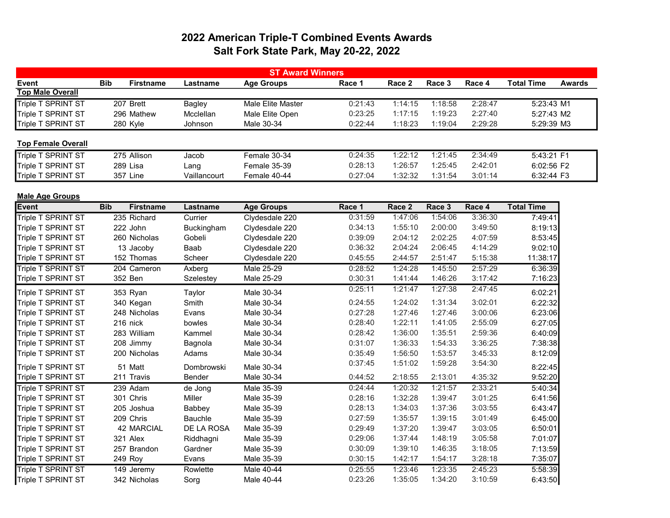## 2022 American Triple-T Combined Events Awards Salt Fork State Park, May 20-22, 2022

| <b>ST Award Winners</b>   |            |                   |               |                   |         |         |         |         |                   |               |
|---------------------------|------------|-------------------|---------------|-------------------|---------|---------|---------|---------|-------------------|---------------|
| <b>Event</b>              | <b>Bib</b> | <b>Firstname</b>  | Lastname      | <b>Age Groups</b> | Race 1  | Race 2  | Race 3  | Race 4  | <b>Total Time</b> | <b>Awards</b> |
| <b>Top Male Overall</b>   |            |                   |               |                   |         |         |         |         |                   |               |
| Triple T SPRINT ST        | 207 Brett  |                   | <b>Bagley</b> | Male Elite Master | 0:21:43 | 1:14:15 | 1:18:58 | 2:28:47 | 5:23:43 M1        |               |
| Triple T SPRINT ST        |            | 296 Mathew        | Mcclellan     | Male Elite Open   | 0:23:25 | 1:17:15 | 1:19:23 | 2:27:40 | 5:27:43 M2        |               |
| Triple T SPRINT ST        | 280 Kyle   |                   | Johnson       | Male 30-34        | 0:22:44 | 1:18:23 | 1:19:04 | 2:29:28 | 5:29:39 M3        |               |
| <b>Top Female Overall</b> |            |                   |               |                   |         |         |         |         |                   |               |
| Triple T SPRINT ST        |            | 275 Allison       | Jacob         | Female 30-34      | 0:24:35 | 1:22:12 | 1:21:45 | 2:34:49 | 5:43:21 F1        |               |
| Triple T SPRINT ST        | 289 Lisa   |                   | Lang          | Female 35-39      | 0:28:13 | 1:26:57 | 1:25:45 | 2:42:01 | 6:02:56 F2        |               |
| Triple T SPRINT ST        | 357 Line   |                   | Vaillancourt  | Female 40-44      | 0:27:04 | 1:32:32 | 1:31:54 | 3:01:14 | 6:32:44 F3        |               |
| <b>Male Age Groups</b>    |            |                   |               |                   |         |         |         |         |                   |               |
| <b>Event</b>              | <b>Bib</b> | <b>Firstname</b>  | Lastname      | <b>Age Groups</b> | Race 1  | Race 2  | Race 3  | Race 4  | <b>Total Time</b> |               |
| Triple T SPRINT ST        |            | 235 Richard       | Currier       | Clydesdale 220    | 0:31:59 | 1:47:06 | 1:54:06 | 3:36:30 | 7:49:41           |               |
| Triple T SPRINT ST        | 222 John   |                   | Buckingham    | Clydesdale 220    | 0:34:13 | 1:55:10 | 2:00:00 | 3:49:50 | 8:19:13           |               |
| Triple T SPRINT ST        |            | 260 Nicholas      | Gobeli        | Clydesdale 220    | 0:39:09 | 2:04:12 | 2:02:25 | 4:07:59 | 8:53:45           |               |
| Triple T SPRINT ST        |            | 13 Jacoby         | Baab          | Clydesdale 220    | 0:36:32 | 2:04:24 | 2:06:45 | 4:14:29 | 9:02:10           |               |
| Triple T SPRINT ST        |            | 152 Thomas        | Scheer        | Clydesdale 220    | 0:45:55 | 2:44:57 | 2:51:47 | 5:15:38 | 11:38:17          |               |
| <b>Triple T SPRINT ST</b> |            | 204 Cameron       | Axberg        | <b>Male 25-29</b> | 0:28:52 | 1:24:28 | 1:45:50 | 2:57:29 | 6:36:39           |               |
| Triple T SPRINT ST        | 352 Ben    |                   | Szelestey     | Male 25-29        | 0:30:31 | 1:41:44 | 1:46:26 | 3:17:42 | 7:16:23           |               |
| Triple T SPRINT ST        | 353 Ryan   |                   | Taylor        | Male 30-34        | 0:25:11 | 1:21:47 | 1:27:38 | 2:47:45 | 6:02:21           |               |
| Triple T SPRINT ST        |            | 340 Kegan         | Smith         | Male 30-34        | 0:24:55 | 1:24:02 | 1:31:34 | 3:02:01 | 6:22:32           |               |
| Triple T SPRINT ST        |            | 248 Nicholas      | Evans         | Male 30-34        | 0:27:28 | 1:27:46 | 1:27:46 | 3:00:06 | 6:23:06           |               |
| Triple T SPRINT ST        | 216 nick   |                   | bowles        | Male 30-34        | 0:28:40 | 1:22:11 | 1:41:05 | 2:55:09 | 6:27:05           |               |
| Triple T SPRINT ST        |            | 283 William       | Kammel        | Male 30-34        | 0:28:42 | 1:36:00 | 1:35:51 | 2:59:36 | 6:40:09           |               |
| Triple T SPRINT ST        |            | 208 Jimmy         | Bagnola       | Male 30-34        | 0:31:07 | 1:36:33 | 1:54:33 | 3:36:25 | 7:38:38           |               |
| Triple T SPRINT ST        |            | 200 Nicholas      | Adams         | Male 30-34        | 0:35:49 | 1:56:50 | 1:53:57 | 3:45:33 | 8:12:09           |               |
| Triple T SPRINT ST        | 51 Matt    |                   | Dombrowski    | Male 30-34        | 0:37:45 | 1:51:02 | 1:59:28 | 3:54:30 | 8:22:45           |               |
| Triple T SPRINT ST        | 211 Travis |                   | Bender        | Male 30-34        | 0:44:52 | 2:18:55 | 2:13:01 | 4:35:32 | 9:52:20           |               |
| Triple T SPRINT ST        | 239 Adam   |                   | de Jong       | Male 35-39        | 0:24:44 | 1:20:32 | 1:21:57 | 2:33:21 | 5:40:34           |               |
| Triple T SPRINT ST        | 301 Chris  |                   | Miller        | Male 35-39        | 0:28:16 | 1:32:28 | 1:39:47 | 3:01:25 | 6:41:56           |               |
| Triple T SPRINT ST        |            | 205 Joshua        | Babbey        | Male 35-39        | 0:28:13 | 1:34:03 | 1:37:36 | 3:03:55 | 6:43:47           |               |
| Triple T SPRINT ST        | 209 Chris  |                   | Bauchle       | Male 35-39        | 0:27:59 | 1:35:57 | 1:39:15 | 3:01:49 | 6:45:00           |               |
| Triple T SPRINT ST        |            | <b>42 MARCIAL</b> | DE LA ROSA    | Male 35-39        | 0:29:49 | 1:37:20 | 1:39:47 | 3:03:05 | 6:50:01           |               |
| Triple T SPRINT ST        | 321 Alex   |                   | Riddhagni     | Male 35-39        | 0:29:06 | 1:37:44 | 1:48:19 | 3:05:58 | 7:01:07           |               |
| Triple T SPRINT ST        |            | 257 Brandon       | Gardner       | Male 35-39        | 0:30:09 | 1:39:10 | 1:46:35 | 3:18:05 | 7:13:59           |               |
| Triple T SPRINT ST        | 249 Roy    |                   | Evans         | Male 35-39        | 0:30:15 | 1:42:17 | 1:54:17 | 3:28:18 | 7:35:07           |               |
| Triple T SPRINT ST        |            | 149 Jeremy        | Rowlette      | Male 40-44        | 0:25:55 | 1:23:46 | 1:23:35 | 2:45:23 | 5:58:39           |               |
| Triple T SPRINT ST        |            | 342 Nicholas      | Sorg          | Male 40-44        | 0:23:26 | 1:35:05 | 1:34:20 | 3:10:59 | 6:43:50           |               |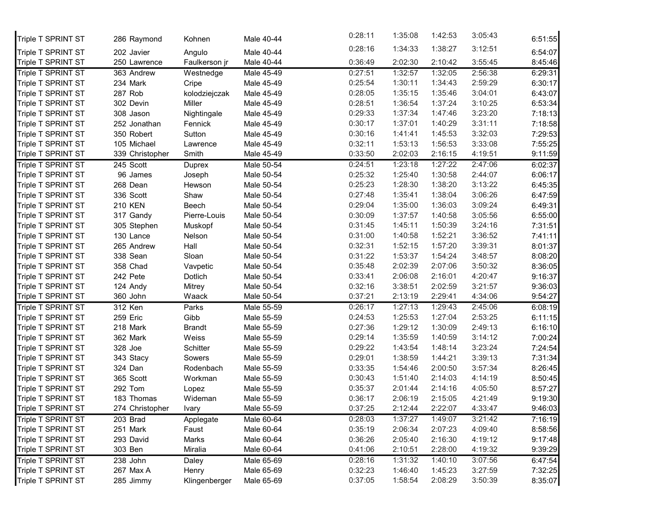| Triple T SPRINT ST | 286 Raymond     | Kohnen        | Male 40-44 | 0:28:11 | 1:35:08 | 1:42:53 | 3:05:43 | 6:51:55 |
|--------------------|-----------------|---------------|------------|---------|---------|---------|---------|---------|
| Triple T SPRINT ST | 202 Javier      | Angulo        | Male 40-44 | 0:28:16 | 1:34:33 | 1:38:27 | 3:12:51 | 6:54:07 |
| Triple T SPRINT ST | 250 Lawrence    | Faulkerson jr | Male 40-44 | 0:36:49 | 2:02:30 | 2:10:42 | 3:55:45 | 8:45:46 |
| Triple T SPRINT ST | 363 Andrew      | Westnedge     | Male 45-49 | 0:27:51 | 1:32:57 | 1:32:05 | 2:56:38 | 6:29:31 |
| Triple T SPRINT ST | 234 Mark        | Cripe         | Male 45-49 | 0:25:54 | 1:30:11 | 1:34:43 | 2:59:29 | 6:30:17 |
| Triple T SPRINT ST | 287 Rob         | kolodziejczak | Male 45-49 | 0:28:05 | 1:35:15 | 1:35:46 | 3:04:01 | 6:43:07 |
| Triple T SPRINT ST | 302 Devin       | Miller        | Male 45-49 | 0:28:51 | 1:36:54 | 1:37:24 | 3:10:25 | 6:53:34 |
| Triple T SPRINT ST | 308 Jason       | Nightingale   | Male 45-49 | 0:29:33 | 1:37:34 | 1:47:46 | 3:23:20 | 7:18:13 |
| Triple T SPRINT ST | 252 Jonathan    | Fennick       | Male 45-49 | 0:30:17 | 1:37:01 | 1:40:29 | 3:31:11 | 7:18:58 |
| Triple T SPRINT ST | 350 Robert      | Sutton        | Male 45-49 | 0:30:16 | 1:41:41 | 1:45:53 | 3:32:03 | 7:29:53 |
| Triple T SPRINT ST | 105 Michael     | Lawrence      | Male 45-49 | 0:32:11 | 1:53:13 | 1:56:53 | 3:33:08 | 7:55:25 |
| Triple T SPRINT ST | 339 Christopher | Smith         | Male 45-49 | 0:33:50 | 2:02:03 | 2:16:15 | 4:19:51 | 9:11:59 |
| Triple T SPRINT ST | 245 Scott       | Duprex        | Male 50-54 | 0:24:51 | 1:23:18 | 1:27:22 | 2:47:06 | 6:02:37 |
| Triple T SPRINT ST | 96 James        | Joseph        | Male 50-54 | 0:25:32 | 1:25:40 | 1:30:58 | 2:44:07 | 6:06:17 |
| Triple T SPRINT ST | 268 Dean        | Hewson        | Male 50-54 | 0:25:23 | 1:28:30 | 1:38:20 | 3:13:22 | 6:45:35 |
| Triple T SPRINT ST | 336 Scott       | Shaw          | Male 50-54 | 0:27:48 | 1:35:41 | 1:38:04 | 3:06:26 | 6:47:59 |
| Triple T SPRINT ST | <b>210 KEN</b>  | Beech         | Male 50-54 | 0:29:04 | 1:35:00 | 1:36:03 | 3:09:24 | 6:49:31 |
| Triple T SPRINT ST | 317 Gandy       | Pierre-Louis  | Male 50-54 | 0:30:09 | 1:37:57 | 1:40:58 | 3:05:56 | 6:55:00 |
| Triple T SPRINT ST | 305 Stephen     | Muskopf       | Male 50-54 | 0:31:45 | 1:45:11 | 1:50:39 | 3:24:16 | 7:31:51 |
| Triple T SPRINT ST | 130 Lance       | Nelson        | Male 50-54 | 0:31:00 | 1:40:58 | 1:52:21 | 3:36:52 | 7:41:11 |
| Triple T SPRINT ST | 265 Andrew      | Hall          | Male 50-54 | 0:32:31 | 1:52:15 | 1:57:20 | 3:39:31 | 8:01:37 |
| Triple T SPRINT ST | 338 Sean        | Sloan         | Male 50-54 | 0:31:22 | 1:53:37 | 1:54:24 | 3:48:57 | 8:08:20 |
| Triple T SPRINT ST | 358 Chad        | Vavpetic      | Male 50-54 | 0:35:48 | 2:02:39 | 2:07:06 | 3:50:32 | 8:36:05 |
| Triple T SPRINT ST | 242 Pete        | Dotlich       | Male 50-54 | 0:33:41 | 2:06:08 | 2:16:01 | 4:20:47 | 9:16:37 |
| Triple T SPRINT ST | 124 Andy        | Mitrey        | Male 50-54 | 0:32:16 | 3:38:51 | 2:02:59 | 3:21:57 | 9:36:03 |
| Triple T SPRINT ST | 360 John        | Waack         | Male 50-54 | 0:37:21 | 2:13:19 | 2:29:41 | 4:34:06 | 9:54:27 |
| Triple T SPRINT ST | 312 Ken         | Parks         | Male 55-59 | 0:26:17 | 1:27:13 | 1:29:43 | 2:45:06 | 6:08:19 |
| Triple T SPRINT ST | 259 Eric        | Gibb          | Male 55-59 | 0:24:53 | 1:25:53 | 1:27:04 | 2:53:25 | 6:11:15 |
| Triple T SPRINT ST | 218 Mark        | <b>Brandt</b> | Male 55-59 | 0:27:36 | 1:29:12 | 1:30:09 | 2:49:13 | 6:16:10 |
| Triple T SPRINT ST | 362 Mark        | Weiss         | Male 55-59 | 0:29:14 | 1:35:59 | 1:40:59 | 3:14:12 | 7:00:24 |
| Triple T SPRINT ST | 328 Joe         | Schitter      | Male 55-59 | 0:29:22 | 1:43:54 | 1:48:14 | 3:23:24 | 7:24:54 |
| Triple T SPRINT ST | 343 Stacy       | Sowers        | Male 55-59 | 0:29:01 | 1:38:59 | 1:44:21 | 3:39:13 | 7:31:34 |
| Triple T SPRINT ST | 324 Dan         | Rodenbach     | Male 55-59 | 0:33:35 | 1:54:46 | 2:00:50 | 3:57:34 | 8:26:45 |
| Triple T SPRINT ST | 365 Scott       | Workman       | Male 55-59 | 0:30:43 | 1:51:40 | 2:14:03 | 4:14:19 | 8:50:45 |
| Triple T SPRINT ST | 292 Tom         | Lopez         | Male 55-59 | 0:35:37 | 2:01:44 | 2:14:16 | 4:05:50 | 8:57:27 |
| Triple T SPRINT ST | 183 Thomas      | Wideman       | Male 55-59 | 0:36:17 | 2:06:19 | 2:15:05 | 4:21:49 | 9:19:30 |
| Triple T SPRINT ST | 274 Christopher | Ivary         | Male 55-59 | 0:37:25 | 2:12:44 | 2:22:07 | 4:33:47 | 9:46:03 |
| Triple T SPRINT ST | 203 Brad        | Applegate     | Male 60-64 | 0:28:03 | 1:37:27 | 1:49:07 | 3:21:42 | 7:16:19 |
| Triple T SPRINT ST | 251 Mark        | Faust         | Male 60-64 | 0:35:19 | 2:06:34 | 2:07:23 | 4:09:40 | 8:58:56 |
| Triple T SPRINT ST | 293 David       | Marks         | Male 60-64 | 0:36:26 | 2:05:40 | 2:16:30 | 4:19:12 | 9:17:48 |
| Triple T SPRINT ST | 303 Ben         | Miralia       | Male 60-64 | 0:41:06 | 2:10:51 | 2:28:00 | 4:19:32 | 9:39:29 |
| Triple T SPRINT ST | 238 John        | Daley         | Male 65-69 | 0:28:16 | 1:31:32 | 1:40:10 | 3:07:56 | 6:47:54 |
| Triple T SPRINT ST | 267 Max A       | Henry         | Male 65-69 | 0:32:23 | 1:46:40 | 1:45:23 | 3:27:59 | 7:32:25 |
| Triple T SPRINT ST | 285 Jimmy       | Klingenberger | Male 65-69 | 0:37:05 | 1:58:54 | 2:08:29 | 3:50:39 | 8:35:07 |